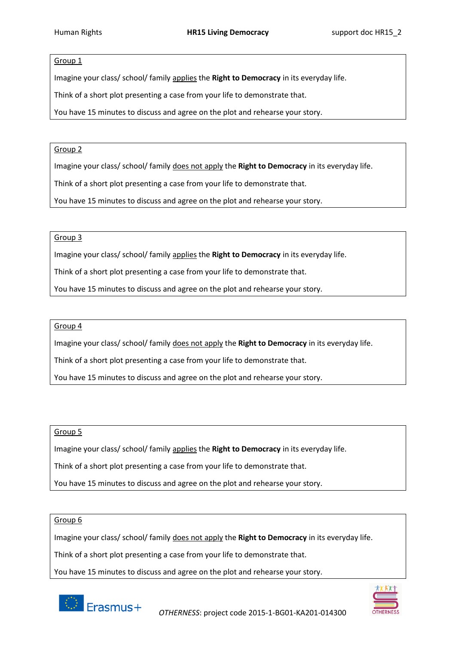# Group 1

Imagine your class/ school/ family applies the **Right to Democracy** in its everyday life.

Think of a short plot presenting a case from your life to demonstrate that.

You have 15 minutes to discuss and agree on the plot and rehearse your story.

# Group 2

Imagine your class/ school/ family does not apply the **Right to Democracy** in its everyday life.

Think of a short plot presenting a case from your life to demonstrate that.

You have 15 minutes to discuss and agree on the plot and rehearse your story.

### Group 3

Imagine your class/ school/ family applies the **Right to Democracy** in its everyday life.

Think of a short plot presenting a case from your life to demonstrate that.

You have 15 minutes to discuss and agree on the plot and rehearse your story.

### Group 4

Imagine your class/ school/ family does not apply the **Right to Democracy** in its everyday life.

Think of a short plot presenting a case from your life to demonstrate that.

You have 15 minutes to discuss and agree on the plot and rehearse your story.

## Group 5

Imagine your class/ school/ family applies the **Right to Democracy** in its everyday life.

Think of a short plot presenting a case from your life to demonstrate that.

You have 15 minutes to discuss and agree on the plot and rehearse your story.

### Group 6

Imagine your class/ school/ family does not apply the **Right to Democracy** in its everyday life.

Think of a short plot presenting a case from your life to demonstrate that.

You have 15 minutes to discuss and agree on the plot and rehearse your story.



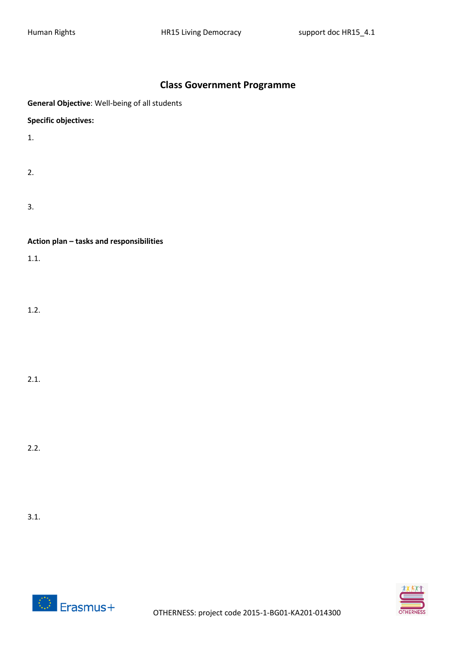# **Class Government Programme**

|  |  | General Objective: Well-being of all students |  |  |
|--|--|-----------------------------------------------|--|--|
|--|--|-----------------------------------------------|--|--|

**Specific objectives:**

1.

- 2.
- 3.

**Action plan – tasks and responsibilities**

1.1.

1.2.

2.1.

2.2.

3.1.



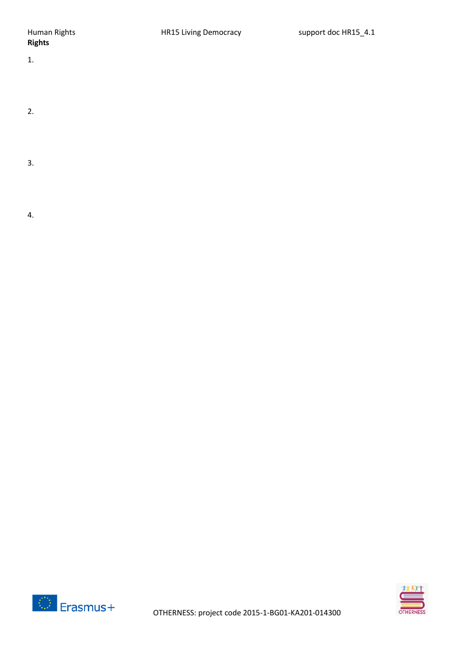- 1.
- 2.
- 3.
- 4.